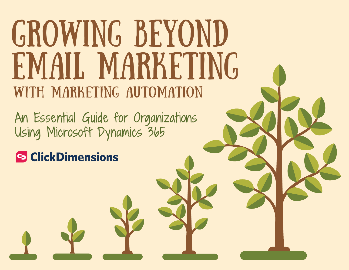# GROWING BEYOND EMAIL MARKETING with Marketing Automation

An Essential Guide for Organizations Using Microsoft Dynamics 365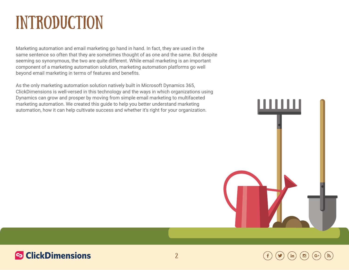## **INTRODUCTION**

Marketing automation and email marketing go hand in hand. In fact, they are used in the same sentence so often that they are sometimes thought of as one and the same. But despite seeming so synonymous, the two are quite different. While email marketing is an important component of a marketing automation solution, marketing automation platforms go well beyond email marketing in terms of features and benefits.

As the only marketing automation solution natively built in Microsoft Dynamics 365, ClickDimensions is well-versed in this technology and the ways in which organizations using Dynamics can grow and prosper by moving from simple email marketing to multifaceted marketing automation. We created this guide to help you better understand marketing automation, how it can help cultivate success and whether it's right for your organization.

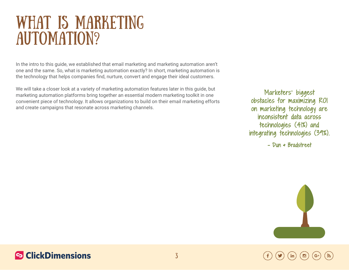## WHAT IS MARKETING AUTOMATION?

In the intro to this guide, we established that email marketing and marketing automation aren't one and the same. So, what is marketing automation exactly? In short, marketing automation is the technology that helps companies find, nurture, convert and engage their ideal customers.

We will take a closer look at a variety of marketing automation features later in this guide, but marketing automation platforms bring together an essential modern marketing toolkit in one convenient piece of technology. It allows organizations to build on their email marketing efforts and create campaigns that resonate across marketing channels.

Marketers' biggest obstacles for maximizing ROI on marketing technology are inconsistent data across technologies (41%) and integrating technologies (39%).

[– Dun & Bradstreet](http://www.dnb.com/)

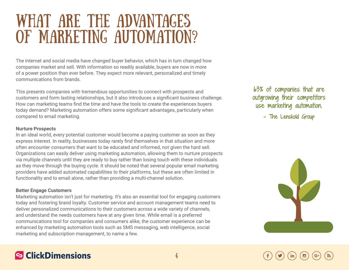## WHAT ARE THE ADVANTAGES OF MARKETING AUTOMATION?

The internet and social media have changed buyer behavior, which has in turn changed how companies market and sell. With information so readily available, buyers are now in more of a power position than ever before. They expect more relevant, personalized and timely communications from brands.

This presents companies with tremendous opportunities to connect with prospects and customers and form lasting relationships, but it also introduces a significant business challenge. How can marketing teams find the time and have the tools to create the experiences buyers today demand? Marketing automation offers some significant advantages, particularly when compared to email marketing.

#### **Nurture Prospects**

In an ideal world, every potential customer would become a paying customer as soon as they express interest. In reality, businesses today rarely find themselves in that situation and more often encounter consumers that want to be educated and informed, not given the hard sell. Organizations can easily deliver using marketing automation, allowing them to nurture prospects via multiple channels until they are ready to buy rather than losing touch with these individuals as they move through the buying cycle. It should be noted that several popular email marketing providers have added automated capabilities to their platforms, but these are often limited in functionality and to email alone, rather than providing a multi-channel solution.

#### **Better Engage Customers**

Marketing automation isn't just for marketing. It's also an essential tool for engaging customers today and fostering brand loyalty. Customer service and account management teams need to deliver personalized communications to their customers across a wide variety of channels, and understand the needs customers have at any given time. While email is a preferred communications tool for companies and consumers alike, the customer experience can be enhanced by marketing automation tools such as SMS messaging, web intelligence, social marketing and subscription management, to name a few.

### 63% of companies that are outgrowing their competitors use marketing automation.

[– The Lenskold Group](http://www.lenskold.com/)

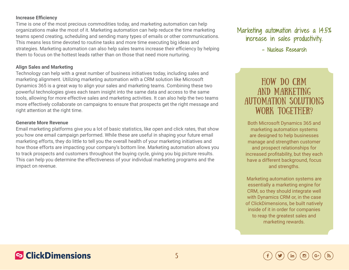#### **Increase Efficiency**

Time is one of the most precious commodities today, and marketing automation can help organizations make the most of it. Marketing automation can help reduce the time marketing teams spend creating, scheduling and sending many types of emails or other communications. This means less time devoted to routine tasks and more time executing big ideas and strategies. Marketing automation can also help sales teams increase their efficiency by helping them to focus on the hottest leads rather than on those that need more nurturing.

#### **Align Sales and Marketing**

Technology can help with a great number of business initiatives today, including sales and marketing alignment. Utilizing marketing automation with a CRM solution like Microsoft Dynamics 365 is a great way to align your sales and marketing teams. Combining these two powerful technologies gives each team insight into the same data and access to the same tools, allowing for more effective sales and marketing activities. It can also help the two teams more effectively collaborate on campaigns to ensure that prospects get the right message and right attention at the right time.

#### **Generate More Revenue**

Email marketing platforms give you a lot of basic statistics, like open and click rates, that show you how one email campaign performed. While these are useful in shaping your future email marketing efforts, they do little to tell you the overall health of your marketing initiatives and how those efforts are impacting your company's bottom line. Marketing automation allows you to track prospects and customers throughout the buying cycle, giving you big picture results. This can help you determine the effectiveness of your individual marketing programs and the impact on revenue.

Marketing automation drives a 14.5% increase in sales productivity.

#### [- Nucleus Research](https://nucleusresearch.com/)

### HOW DO CRM AND MARKETING AUTOMATION SOLUTIONS WORK TOGETHER?

Both Microsoft Dynamics 365 and marketing automation systems are designed to help businesses manage and strengthen customer and prospect relationships for increased profitability, but they each have a different background, focus and strengths.

Marketing automation systems are essentially a marketing engine for CRM, so they should integrate well with Dynamics CRM or, in the case of ClickDimensions, be built natively inside of it in order for companies to reap the greatest sales and marketing rewards.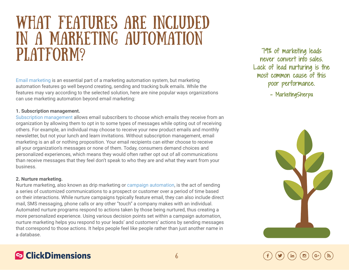## What Features are Included in a Marketing Automation PLATFORM?

[Email marketing](http://clickdimensions.com/features/email-marketing/) is an essential part of a marketing automation system, but marketing automation features go well beyond creating, sending and tracking bulk emails. While the features may vary according to the selected solution, here are nine popular ways organizations can use marketing automation beyond email marketing:

#### **1. Subscription management.**

[Subscription management](http://help.clickdimensions.com/introduction-to-subscription-lists/) allows email subscribers to choose which emails they receive from an organization by allowing them to opt in to some types of messages while opting out of receiving others. For example, an individual may choose to receive your new product emails and monthly newsletter, but not your lunch and learn invitations. Without subscription management, email marketing is an all or nothing proposition. Your email recipients can either choose to receive all your organization's messages or none of them. Today, consumers demand choices and personalized experiences, which means they would often rather opt out of all communications than receive messages that they feel don't speak to who they are and what they want from your business.

#### **2. Nurture marketing.**

**S** ClickDimensions

Nurture marketing, also known as drip marketing or [campaign automation,](http://clickdimensions.com/features/campaign-automation/) is the act of sending a series of customized communications to a prospect or customer over a period of time based on their interactions. While nurture campaigns typically feature email, they can also include direct mail, SMS messaging, phone calls or any other "touch" a company makes with an individual. Automated nurture programs respond to actions taken by those being nurtured, thus creating a more personalized experience. Using various decision points set within a campaign automation, nurture marketing helps you respond to your leads' and customers' actions by sending messages that correspond to those actions. It helps people feel like people rather than just another name in a database.

79% of marketing leads never convert into sales. Lack of lead nurturing is the most common cause of this poor performance.

– MarketingSherpa

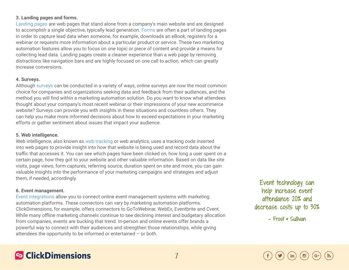#### **3. Landing pages and forms.**

[Landing pages](http://clickdimensions.com/features/landing-pages/) are web pages that stand alone from a company's main website and are designed to accomplish a single objective, typically lead generation. [Forms](http://clickdimensions.com/features/web-forms/) are often a part of landing pages in order to capture lead data when someone, for example, downloads an eBook, registers for a webinar or requests more information about a particular product or service. These two marketing automation features allow you to focus on one topic or piece of content and provide a means for collecting lead data. Landing pages create a cleaner experience than a web page by removing distractions like navigation bars and are highly focused on one call to action, which can greatly increase conversions.

#### **4. Surveys.**

Although [surveys](http://clickdimensions.com/features/surveys/) can be conducted in a variety of ways, online surveys are now the most common choice for companies and organizations seeking data and feedback from their audiences, and the method you will find within a marketing automation solution. Do you want to know what attendees thought about your company's most recent webinar or their impressions of your new ecommerce website? Surveys can provide you with insights in these situations and countless others. They can help you make more informed decisions about how to exceed expectations in your marketing efforts or gather sentiment about issues that impact your audience.

#### **5. Web intelligence.**

Web intelligence, also known as [web tracking](http://clickdimensions.com/features/web-intelligence/) or web analytics, uses a tracking code inserted into web pages to provide insight into how that website is being used and record data about the traffic that accesses it. You can see which pages have been clicked on, how long a user spent on a certain page, how they got to your website and other valuable information. Based on data like site visits, page views, form captures, referring source, duration spent on site and more, you can gain valuable insights into the performance of your marketing campaigns and strategies and adjust them, if needed, accordingly.

#### **6. Event management.**

[Event integrations](http://clickdimensions.com/features/event-integrations/) allow you to connect online event management systems with marketing automation platforms. These connectors can vary by marketing automation platforms. ClickDimensions, for example, offers connectors to GoToWebinar, WebEx, Eventbrite and Cvent. While many offline marketing channels continue to see declining interest and budgetary allocation from companies, events are bucking that trend. In-person and online events offer brands a powerful way to connect with their audiences and strengthen those relationships, while giving attendees the opportunity to be informed or entertained – or both.

Event technology can help increase event attendance 20% and decrease costs up to 30%

[- Frost & Sullivan](https://ww2.frost.com/)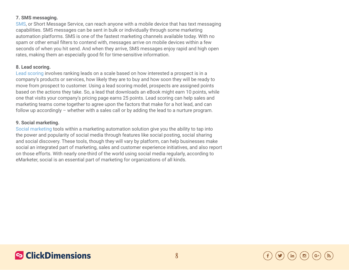#### **7. SMS messaging.**

[SMS,](http://clickdimensions.com/features/sms-text-messaging/) or Short Message Service, can reach anyone with a mobile device that has text messaging capabilities. SMS messages can be sent in bulk or individually through some marketing automation platforms. SMS is one of the fastest marketing channels available today. With no spam or other email filters to contend with, messages arrive on mobile devices within a few seconds of when you hit send. And when they arrive, SMS messages enjoy rapid and high open rates, making them an especially good fit for time-sensitive information.

#### **8. Lead scoring.**

[Lead scoring](http://clickdimensions.com/features/lead-scoring/) involves ranking leads on a scale based on how interested a prospect is in a company's products or services, how likely they are to buy and how soon they will be ready to move from prospect to customer. Using a lead scoring model, prospects are assigned points based on the actions they take. So, a lead that downloads an eBook might earn 10 points, while one that visits your company's pricing page earns 25 points. Lead scoring can help sales and marketing teams come together to agree upon the factors that make for a hot lead, and can follow up accordingly – whether with a sales call or by adding the lead to a nurture program.

#### **9. Social marketing.**

[Social marketing](http://clickdimensions.com/features/social-discovery/) tools within a marketing automation solution give you the ability to tap into the power and popularity of social media through features like social posting, social sharing and social discovery. These tools, though they will vary by platform, can help businesses make social an integrated part of marketing, sales and customer experience initiatives, and also report on those efforts. With nearly one-third of the world using social media regularly, according to eMarketer, social is an essential part of marketing for organizations of all kinds.



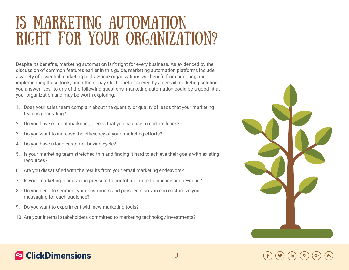## Is Marketing Automation Right for Your Organization?

Despite its benefits, marketing automation isn't right for every business. As evidenced by the discussion of common features earlier in this guide, marketing automation platforms include a variety of essential marketing tools. Some organizations will benefit from adopting and implementing these tools, and others may still be better served by an email marketing solution. If you answer "yes" to any of the following questions, marketing automation could be a good fit at your organization and may be worth exploring:

- 1. Does your sales team complain about the quantity or quality of leads that your marketing team is generating?
- 2. Do you have content marketing pieces that you can use to nurture leads?
- 3. Do you want to increase the efficiency of your marketing efforts?
- 4. Do you have a long customer buying cycle?
- 5. Is your marketing team stretched thin and finding it hard to achieve their goals with existing resources?
- 6. Are you dissatisfied with the results from your email marketing endeavors?
- 7. Is your marketing team facing pressure to contribute more to pipeline and revenue?
- 8. Do you need to segment your customers and prospects so you can customize your messaging for each audience?
- 9. Do you want to experiment with new marketing tools?
- 10. Are your internal stakeholders committed to marketing technology investments?